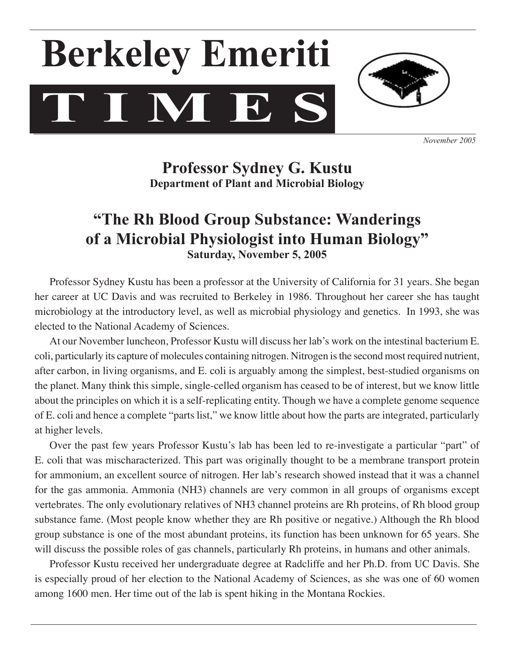# **T I M E S Berkeley Emeriti**



*November 2005*

**Professor Sydney G. Kustu Department of Plant and Microbial Biology**

# **"The Rh Blood Group Substance: Wanderings of a Microbial Physiologist into Human Biology" Saturday, November 5, 2005**

Professor Sydney Kustu has been a professor at the University of California for 31 years. She began her career at UC Davis and was recruited to Berkeley in 1986. Throughout her career she has taught microbiology at the introductory level, as well as microbial physiology and genetics. In 1993, she was elected to the National Academy of Sciences.

 At our November luncheon, Professor Kustu will discuss her lab's work on the intestinal bacterium E. coli, particularly its capture of molecules containing nitrogen. Nitrogen isthe second most required nutrient, after carbon, in living organisms, and E. coli is arguably among the simplest, best-studied organisms on the planet. Many think this simple, single-celled organism has ceased to be of interest, but we know little about the principles on which it is a self-replicating entity. Though we have a complete genome sequence of E. coli and hence a complete "parts list," we know little about how the parts are integrated, particularly at higher levels.

 Over the past few years Professor Kustu's lab has been led to re-investigate a particular "part" of E. coli that was mischaracterized. This part was originally thought to be a membrane transport protein for ammonium, an excellent source of nitrogen. Her lab's research showed instead that it was a channel for the gas ammonia. Ammonia (NH3) channels are very common in all groups of organisms except vertebrates. The only evolutionary relatives of NH3 channel proteins are Rh proteins, of Rh blood group substance fame. (Most people know whether they are Rh positive or negative.) Although the Rh blood group substance is one of the most abundant proteins, its function has been unknown for 65 years. She will discuss the possible roles of gas channels, particularly Rh proteins, in humans and other animals.

 Professor Kustu received her undergraduate degree at Radcliffe and her Ph.D. from UC Davis. She is especially proud of her election to the National Academy of Sciences, as she was one of 60 women among 1600 men. Her time out of the lab is spent hiking in the Montana Rockies.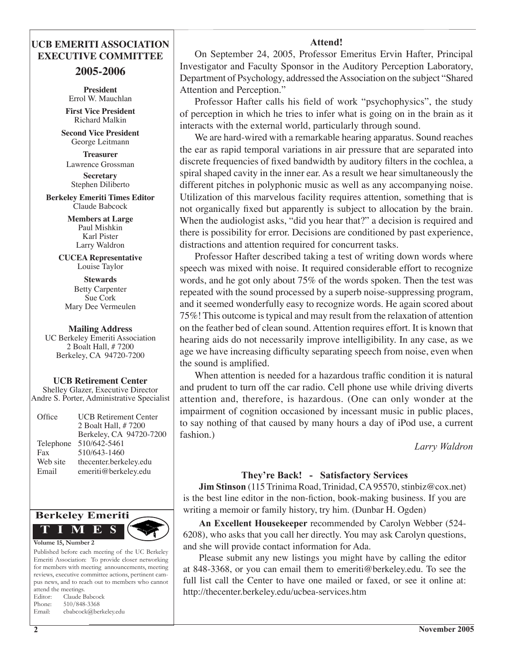### **UCB EMERITI ASSOCIATION EXECUTIVE COMMITTEE**

#### **2005-2006**

**President** Errol W. Mauchlan

**First Vice President** Richard Malkin

**Second Vice President** George Leitmann

**Treasurer**  Lawrence Grossman

**Secretary**  Stephen Diliberto

**Berkeley Emeriti Times Editor** Claude Babcock

> **Members at Large** Paul Mishkin Karl Pister Larry Waldron

**CUCEA Representative** Louise Taylor

**Stewards** Betty Carpenter Sue Cork Mary Dee Vermeulen

#### **Mailing Address**

UC Berkeley Emeriti Association 2 Boalt Hall, # 7200 Berkeley, CA 94720-7200

**UCB Retirement Center** Shelley Glazer, Executive Director

Andre S. Porter, Administrative Specialist

| Office    | <b>UCB</b> Retirement Center |
|-----------|------------------------------|
|           | 2 Boalt Hall, # 7200         |
|           | Berkeley, CA 94720-7200      |
| Telephone | 510/642-5461                 |
| Fax       | 510/643-1460                 |
| Web site  | thecenter.berkeley.edu       |
| Email     | emeriti@berkeley.edu         |
|           |                              |



Published before each meeting of the UC Berkeley Emeriti Association: To provide closer networking for members with meeting announcements, meeting reviews, executive committee actions, pertinent campus news, and to reach out to members who cannot attend the meetings. Editor: Claude Babcock Phone: 510/848-3368 Email: cbabcock@berkeley.edu

Investigator and Faculty Sponsor in the Auditory Perception Laboratory, Department of Psychology, addressed the Association on the subject "Shared" Attention and Perception." Professor Hafter calls his field of work "psychophysics", the study

**Attend!** On September 24, 2005, Professor Emeritus Ervin Hafter, Principal

of perception in which he tries to infer what is going on in the brain as it interacts with the external world, particularly through sound.

 We are hard-wired with a remarkable hearing apparatus. Sound reaches the ear as rapid temporal variations in air pressure that are separated into discrete frequencies of fixed bandwidth by auditory filters in the cochlea, a spiral shaped cavity in the inner ear. As a result we hear simultaneously the different pitches in polyphonic music as well as any accompanying noise. Utilization of this marvelous facility requires attention, something that is not organically fixed but apparently is subject to allocation by the brain. When the audiologist asks, "did you hear that?" a decision is required and there is possibility for error. Decisions are conditioned by past experience, distractions and attention required for concurrent tasks.

 Professor Hafter described taking a test of writing down words where speech was mixed with noise. It required considerable effort to recognize words, and he got only about 75% of the words spoken. Then the test was repeated with the sound processed by a superb noise-suppressing program, and it seemed wonderfully easy to recognize words. He again scored about 75%! This outcome istypical and may result from the relaxation of attention on the feather bed of clean sound. Attention requires effort. It is known that hearing aids do not necessarily improve intelligibility. In any case, as we age we have increasing difficulty separating speech from noise, even when the sound is amplified.

 When attention is needed for a hazardous traffic condition it is natural and prudent to turn off the car radio. Cell phone use while driving diverts attention and, therefore, is hazardous. (One can only wonder at the impairment of cognition occasioned by incessant music in public places, to say nothing of that caused by many hours a day of iPod use, a current fashion.)

*Larry Waldron*

#### **They're Back! - Satisfactory Services**

**Jim Stinson** (115 Trinima Road, Trinidad, CA 95570, stinbiz@cox.net) is the best line editor in the non-fiction, book-making business. If you are writing a memoir or family history, try him. (Dunbar H. Ogden)

**An Excellent Housekeeper** recommended by Carolyn Webber (524- 6208), who asks that you call her directly. You may ask Carolyn questions, and she will provide contact information for Ada.

 Please submit any new listings you might have by calling the editor at 848-3368, or you can email them to emeriti@berkeley.edu. To see the full list call the Center to have one mailed or faxed, or see it online at: http://thecenter.berkeley.edu/ucbea-services.htm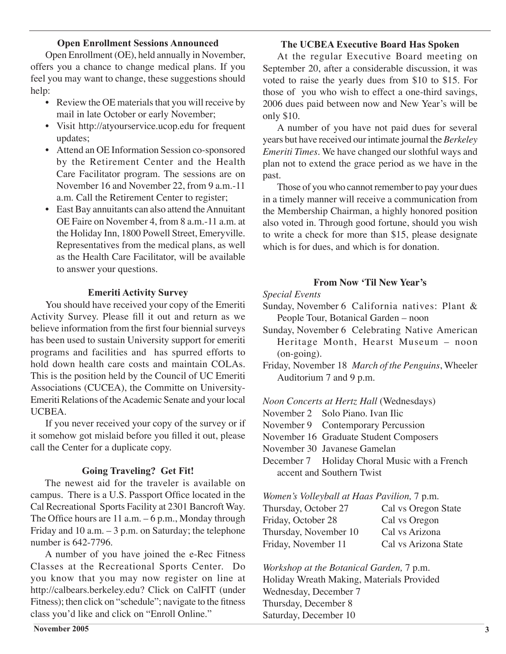#### **Open Enrollment Sessions Announced**

 Open Enrollment (OE), held annually in November, offers you a chance to change medical plans. If you feel you may want to change, these suggestions should help:

- Review the OE materials that you will receive by mail in late October or early November;
- Visit http://atyourservice.ucop.edu for frequent updates;
- Attend an OE Information Session co-sponsored by the Retirement Center and the Health Care Facilitator program. The sessions are on November 16 and November 22, from 9 a.m.-11 a.m. Call the Retirement Center to register;
- East Bay annuitants can also attend the Annuitant OE Faire on November 4, from 8 a.m.-11 a.m. at the Holiday Inn, 1800 Powell Street, Emeryville. Representatives from the medical plans, as well as the Health Care Facilitator, will be available to answer your questions.

#### **Emeriti Activity Survey**

 You should have received your copy of the Emeriti Activity Survey. Please fill it out and return as we believe information from the first four biennial surveys has been used to sustain University support for emeriti programs and facilities and has spurred efforts to hold down health care costs and maintain COLAs. This is the position held by the Council of UC Emeriti Associations (CUCEA), the Committe on University-Emeriti Relations of the Academic Senate and your local UCBEA.

 If you never received your copy of the survey or if it somehow got mislaid before you filled it out, please call the Center for a duplicate copy.

#### **Going Traveling? Get Fit!**

 The newest aid for the traveler is available on campus. There is a U.S. Passport Office located in the Cal Recreational Sports Facility at 2301 Bancroft Way. The Office hours are  $11$  a.m.  $-6$  p.m., Monday through Friday and 10 a.m. – 3 p.m. on Saturday; the telephone number is 642-7796.

 A number of you have joined the e-Rec Fitness Classes at the Recreational Sports Center. Do you know that you may now register on line at http://calbears.berkeley.edu? Click on CalFIT (under Fitness); then click on "schedule"; navigate to the fitness class you'd like and click on "Enroll Online."

#### **The UCBEA Executive Board Has Spoken**

 At the regular Executive Board meeting on September 20, after a considerable discussion, it was voted to raise the yearly dues from \$10 to \$15. For those of you who wish to effect a one-third savings, 2006 dues paid between now and New Year's will be only \$10.

 A number of you have not paid dues for several years but have received ourintimate journal the *Berkeley Emeriti Times.* We have changed our slothful ways and plan not to extend the grace period as we have in the past.

Those of you who cannot remember to pay your dues in a timely manner will receive a communication from the Membership Chairman, a highly honored position also voted in. Through good fortune, should you wish to write a check for more than \$15, please designate which is for dues, and which is for donation.

#### **From Now 'Til New Year's**

#### *Special Events*

- Sunday, November 6 California natives: Plant & People Tour, Botanical Garden – noon
- Sunday, November 6 Celebrating Native American Heritage Month, Hearst Museum - noon (on-going).
- Friday, November 18 *March of the Penguins*, Wheeler Auditorium 7 and 9 p.m.

#### *Noon Concerts at Hertz Hall* (Wednesdays)

November 2 Solo Piano. Ivan Ilic

November 9 Contemporary Percussion

November 16 Graduate Student Composers

November 30 Javanese Gamelan

December 7 Holiday Choral Music with a French accent and Southern Twist

*Women's Volleyball at Haas Pavilion,* 7 p.m.

| Thursday, October 27  | Cal vs Oregon State  |
|-----------------------|----------------------|
| Friday, October 28    | Cal vs Oregon        |
| Thursday, November 10 | Cal vs Arizona       |
| Friday, November 11   | Cal vs Arizona State |
|                       |                      |

*Workshop at the Botanical Garden,* 7 p.m. Holiday Wreath Making, Materials Provided Wednesday, December 7 Thursday, December 8 Saturday, December 10